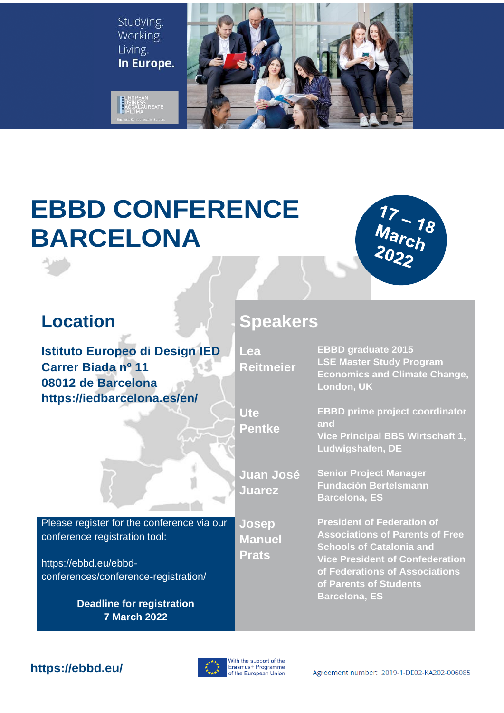Studying. Working. Living. In Europe.

SINESS<br>CCALAUREATE



# **EBBD CONFERENCE BARCELONA**



**Istituto Europeo di Design IED Carrer Biada nº 11 08012 de Barcelona https://iedbarcelona.es/en/**



**Reitmeier**

**Lea** 

**Ute**

**Pentke**

**Juarez**

**Josep Manuel** 

**Prats**

**EBBD graduate 2015 LSE Master Study Program Economics and Climate Change, London, UK**

**EBBD prime project coordinator and**

**Vice Principal BBS Wirtschaft 1, Ludwigshafen, DE**

**Juan José Senior Project Manager Fundación Bertelsmann Barcelona, ES**

> **President of Federation of Associations of Parents of Free Schools of Catalonia and Vice President of Confederation of Federations of Associations of Parents of Students Barcelona, ES**

Please register for the conference via our conference registration tool:

https://ebbd.eu/ebbdconferences/conference-registration/

> **Deadline for registration 7 March 2022**



## **https://ebbd.eu/**